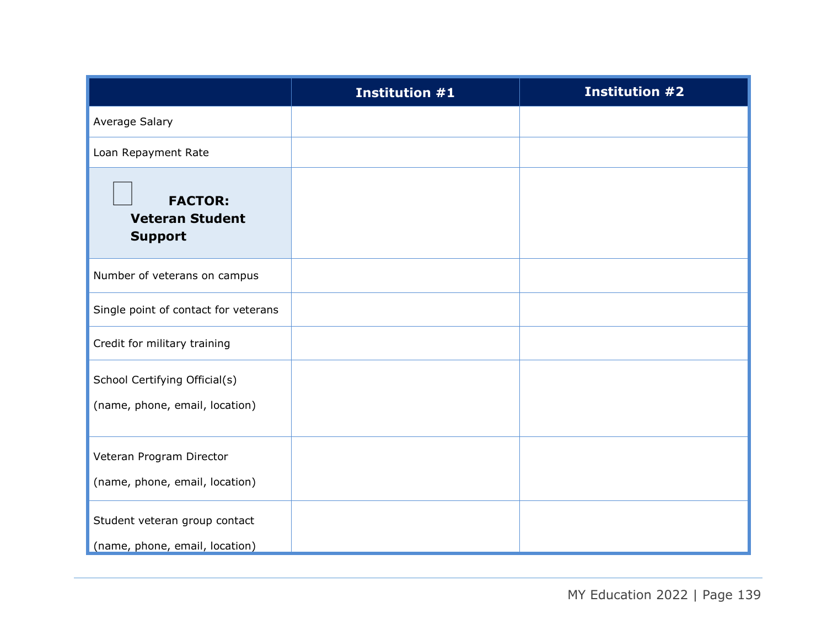|                                                                 | <b>Institution #1</b> | <b>Institution #2</b> |
|-----------------------------------------------------------------|-----------------------|-----------------------|
| Average Salary                                                  |                       |                       |
| Loan Repayment Rate                                             |                       |                       |
| <b>FACTOR:</b><br><b>Veteran Student</b><br><b>Support</b>      |                       |                       |
| Number of veterans on campus                                    |                       |                       |
| Single point of contact for veterans                            |                       |                       |
| Credit for military training                                    |                       |                       |
| School Certifying Official(s)<br>(name, phone, email, location) |                       |                       |
| Veteran Program Director<br>(name, phone, email, location)      |                       |                       |
| Student veteran group contact<br>(name, phone, email, location) |                       |                       |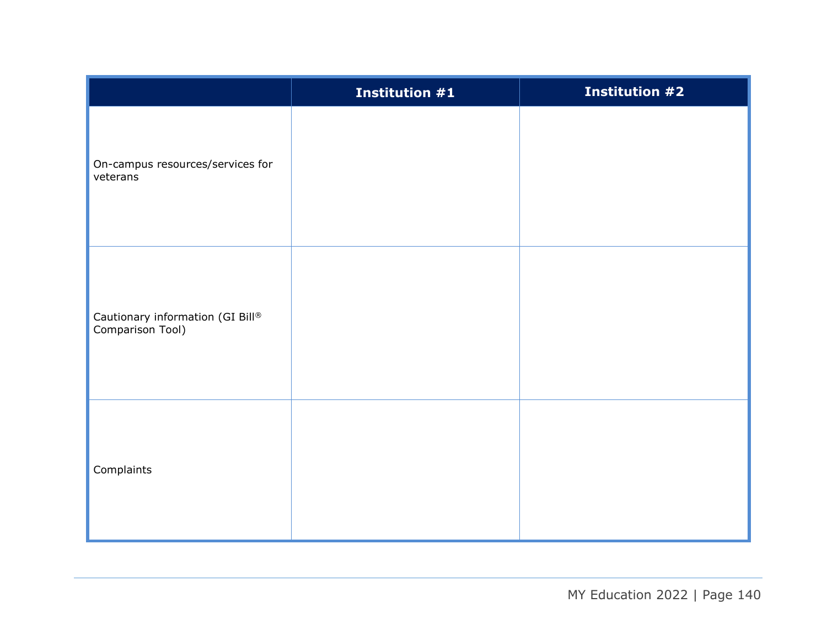|                                                      | Institution #1 | <b>Institution #2</b> |
|------------------------------------------------------|----------------|-----------------------|
| On-campus resources/services for<br>veterans         |                |                       |
| Cautionary information (GI Bill®<br>Comparison Tool) |                |                       |
| Complaints                                           |                |                       |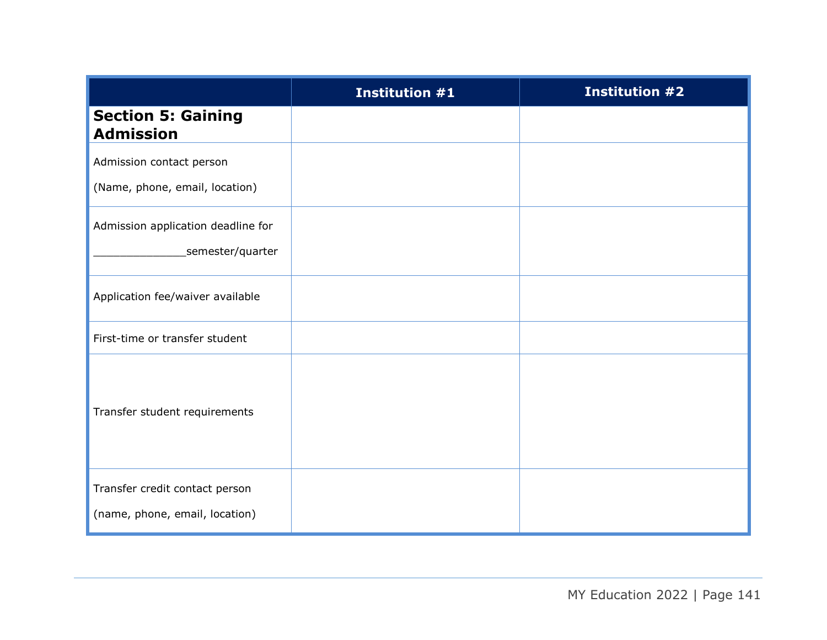|                                               | <b>Institution #1</b> | <b>Institution #2</b> |
|-----------------------------------------------|-----------------------|-----------------------|
| <b>Section 5: Gaining</b><br><b>Admission</b> |                       |                       |
| Admission contact person                      |                       |                       |
| (Name, phone, email, location)                |                       |                       |
| Admission application deadline for            |                       |                       |
| _semester/quarter                             |                       |                       |
| Application fee/waiver available              |                       |                       |
| First-time or transfer student                |                       |                       |
| Transfer student requirements                 |                       |                       |
| Transfer credit contact person                |                       |                       |
| (name, phone, email, location)                |                       |                       |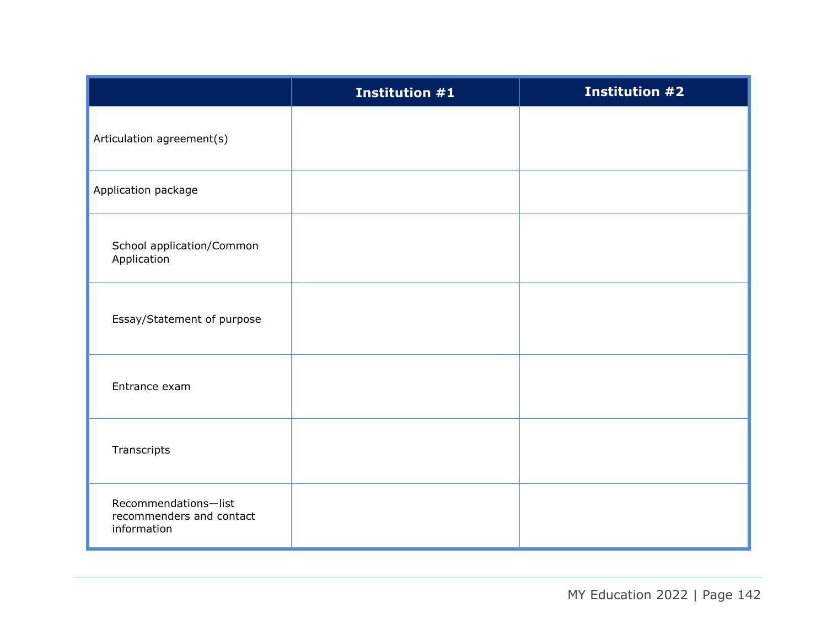|                                                                 | <b>Institution #1</b> | <b>Institution #2</b> |
|-----------------------------------------------------------------|-----------------------|-----------------------|
| Articulation agreement(s)                                       |                       |                       |
| Application package                                             |                       |                       |
| School application/Common<br>Application                        |                       |                       |
| Essay/Statement of purpose                                      |                       |                       |
| Entrance exam                                                   |                       |                       |
| Transcripts                                                     |                       |                       |
| Recommendations-list<br>recommenders and contact<br>information |                       |                       |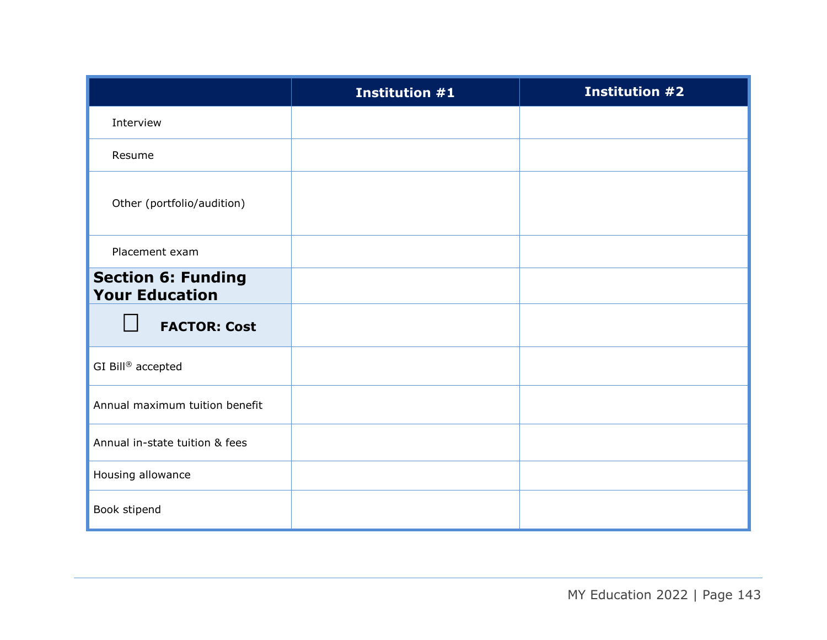|                                                    | <b>Institution #1</b> | <b>Institution #2</b> |
|----------------------------------------------------|-----------------------|-----------------------|
| Interview                                          |                       |                       |
| Resume                                             |                       |                       |
| Other (portfolio/audition)                         |                       |                       |
| Placement exam                                     |                       |                       |
| <b>Section 6: Funding</b><br><b>Your Education</b> |                       |                       |
| <b>FACTOR: Cost</b>                                |                       |                       |
| GI Bill® accepted                                  |                       |                       |
| Annual maximum tuition benefit                     |                       |                       |
| Annual in-state tuition & fees                     |                       |                       |
| Housing allowance                                  |                       |                       |
| Book stipend                                       |                       |                       |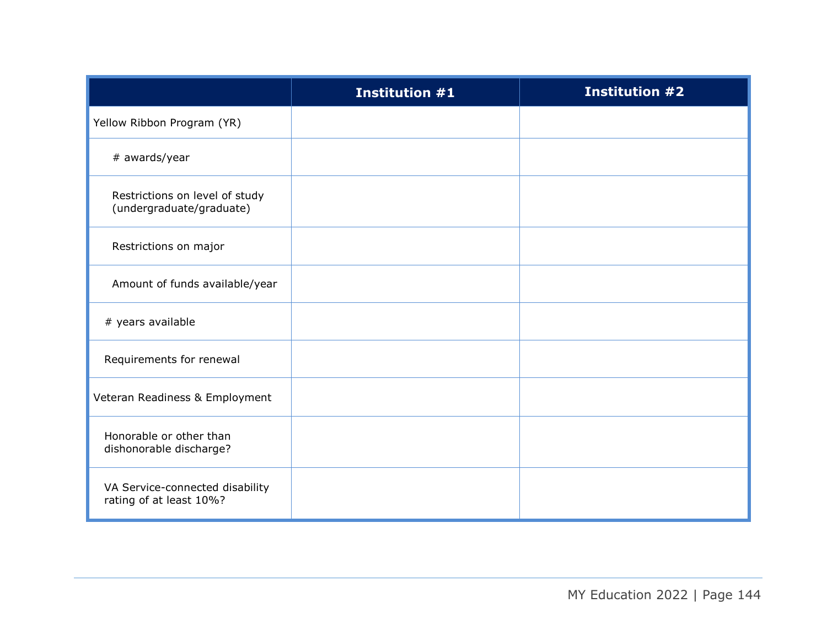|                                                            | <b>Institution #1</b> | <b>Institution #2</b> |
|------------------------------------------------------------|-----------------------|-----------------------|
| Yellow Ribbon Program (YR)                                 |                       |                       |
| # awards/year                                              |                       |                       |
| Restrictions on level of study<br>(undergraduate/graduate) |                       |                       |
| Restrictions on major                                      |                       |                       |
| Amount of funds available/year                             |                       |                       |
| # years available                                          |                       |                       |
| Requirements for renewal                                   |                       |                       |
| Veteran Readiness & Employment                             |                       |                       |
| Honorable or other than<br>dishonorable discharge?         |                       |                       |
| VA Service-connected disability<br>rating of at least 10%? |                       |                       |